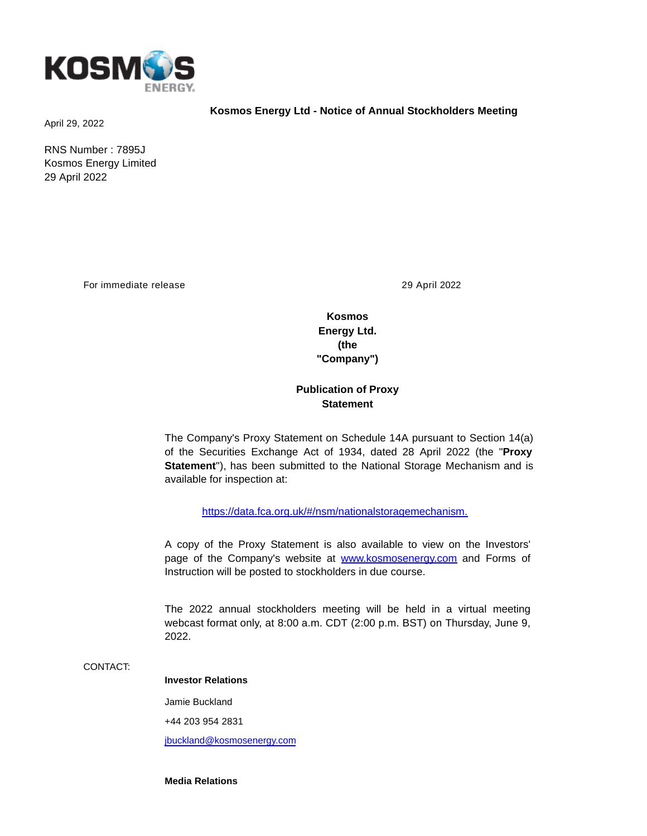

April 29, 2022

RNS Number : 7895J Kosmos Energy Limited 29 April 2022

For immediate release 29 April 2022

**Kosmos Energy Ltd. (the "Company")**

**Kosmos Energy Ltd - Notice of Annual Stockholders Meeting**

## **Publication of Proxy Statement**

The Company's Proxy Statement on Schedule 14A pursuant to Section 14(a) of the Securities Exchange Act of 1934, dated 28 April 2022 (the "**Proxy Statement**"), has been submitted to the National Storage Mechanism and is available for inspection at:

[https://data.fca.org.uk/#/nsm/nationalstoragemechanism.](https://data.fca.org.uk/#/nsm/nationalstoragemechanism)

A copy of the Proxy Statement is also available to view on the Investors' page of the Company's website at [www.kosmosenergy.com](http://www.kosmosenergy.com/) and Forms of Instruction will be posted to stockholders in due course.

The 2022 annual stockholders meeting will be held in a virtual meeting webcast format only, at 8:00 a.m. CDT (2:00 p.m. BST) on Thursday, June 9, 2022.

CONTACT:

## **Investor Relations**

Jamie Buckland

+44 203 954 2831

[jbuckland@kosmosenergy.com](mailto:jbuckland@kosmosenergy.com)

**Media Relations**